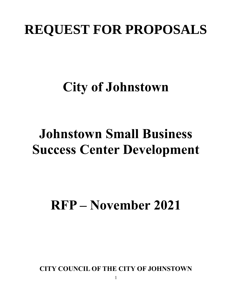# **REQUEST FOR PROPOSALS**

# **City of Johnstown**

# **Johnstown Small Business Success Center Development**

# **RFP – November 2021**

**CITY COUNCIL OF THE CITY OF JOHNSTOWN**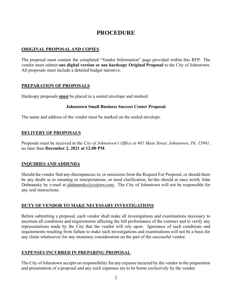### **PROCEDURE**

#### **ORIGINAL PROPOSAL AND COPIES**

The proposal must contain the completed "Vendor Information" page provided within this RFP. The vendor must submit **one digital version or one hardcopy Original Proposal** to the City of Johnstown. All proposals must include a detailed budget narrative.

#### **PREPARATION OF PROPOSALS**

Hardcopy proposals **must** be placed in a sealed envelope and marked:

#### **Johnstown Small Business Success Center Proposal**

The name and address of the vendor must be marked on the sealed envelope.

#### **DELIVERY OF PROPOSALS**

Proposals must be received in the *City of Johnstown's Office at 401 Main Street, Johnstown, PA, 15901*, no later than **December 2, 2021 at 12:00 PM**.

#### **INQUIRIES AND ADDENDA**

Should the vendor find any discrepancies in, or omissions from the Request For Proposal, or should there be any doubt as to meaning or interpretations, or need clarification, he/she should at once notify John Dubnansky by e-mail at  $\frac{\text{d}u}{\text{d}u}$  idubnansky $\omega$ cojtwn.com. The City of Johnstown will not be responsible for any oral instructions.

#### **DUTY OF VENDOR TO MAKE NECESSARY INVESTIGATIONS**

Before submitting a proposal, each vendor shall make all investigations and examinations necessary to ascertain all conditions and requirements affecting the full performance of the contract and to verify any representations made by the City that the vendor will rely upon. Ignorance of such conditions and requirements resulting from failure to make such investigations and examinations will not be a basis for any claim whatsoever for any monetary consideration on the part of the successful vendor.

#### **EXPENSES INCURRED IN PREPARING PROPOSAL**

The City of Johnstown accepts no responsibility for any expense incurred by the vendor in the preparation and presentation of a proposal and any such expenses are to be borne exclusively by the vendor.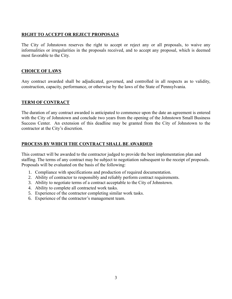#### **RIGHT TO ACCEPT OR REJECT PROPOSALS**

The City of Johnstown reserves the right to accept or reject any or all proposals, to waive any informalities or irregularities in the proposals received, and to accept any proposal, which is deemed most favorable to the City.

#### **CHOICE OF LAWS**

Any contract awarded shall be adjudicated, governed, and controlled in all respects as to validity, construction, capacity, performance, or otherwise by the laws of the State of Pennsylvania.

#### **TERM OF CONTRACT**

The duration of any contract awarded is anticipated to commence upon the date an agreement is entered with the City of Johnstown and conclude two years from the opening of the Johnstown Small Business Success Center. An extension of this deadline may be granted from the City of Johnstown to the contractor at the City's discretion.

#### **PROCESS BY WHICH THE CONTRACT SHALL BE AWARDED**

This contract will be awarded to the contractor judged to provide the best implementation plan and staffing. The terms of any contract may be subject to negotiation subsequent to the receipt of proposals. Proposals will be evaluated on the basis of the following:

- 1. Compliance with specifications and production of required documentation.
- 2. Ability of contractor to responsibly and reliably perform contract requirements.
- 3. Ability to negotiate terms of a contract acceptable to the City of Johnstown.
- 4. Ability to complete all contracted work tasks.
- 5. Experience of the contractor completing similar work tasks.
- 6. Experience of the contractor's management team.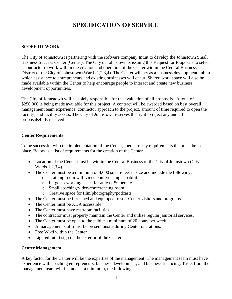### **SPECIFICATION OF SERVICE**

#### **SCOPE OF WORK**

The City of Johnstown is partnering with the software company Intuit to develop the Johnstown Small Business Success Center (Center). The City of Johnstown is issuing this Request for Proposals to select a contractor to work with in the creation and operation of the Center within the Central Business District of the City of Johnstown (Wards 1,2,3,4). The Center will act as a business development hub in which assistance to entrepreneurs and existing businesses will occur. Shared work space will also be made available within the Center to help encourage people to interact and create new business development opportunities.

The City of Johnstown will be solely responsible for the evaluation of all proposals. A total of \$250,000 is being made available for this project. A contract will be awarded based on best overall management team experience, contractor approach to the project, amount of time required to open the facility, and facility access. The City of Johnstown reserves the right to reject any and all proposals/bids received.

#### **Center Requirements**

To be successful with the implementation of the Center, there are key requirements that must be in place. Below is a list of requirements for the creation of the Center.

- Location of the Center must be within the Central Business of the City of Johnstown (City Wards 1,2,3,4).
- The Center must be a minimum of 4,000 square feet in size and include the following:
	- o Training room with video conferencing capabilities
	- o Large co-working space for at least 50 people
	- o Small coaching/video-conferencing room
	- o Creative space for film/photography/podcasts
- The Center must be furnished and equipped to suit Center visitors and programs.
- The Center must be ADA accessible.
- The Center must have restroom facilities.
- The contractor must properly maintain the Center and utilize regular janitorial services.
- The Center must be open to the public a minimum of 20 hours per week.
- A management staff must be present onsite during Center operations.
- Free Wi-fi within the Center
- Lighted Intuit sign on the exterior of the Center

#### **Center Management**

A key factor for the Center will be the expertise of the management. The management team must have experience with coaching entrepreneurs, business development, and business financing. Tasks from the management team will include, at a minimum, the following: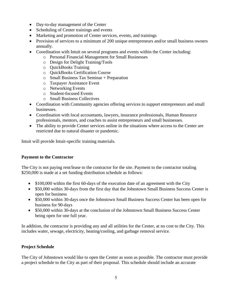- Day-to-day management of the Center
- Scheduling of Center trainings and events
- Marketing and promotion of Center services, events, and trainings
- Provision of services to a minimum of 200 unique entrepreneurs and/or small business owners annually.
- Coordination with Intuit on several programs and events within the Center including:
	- o Personal Financial Management for Small Businesses
	- o Design for Delight Training/Tools
	- o QuickBooks Training
	- o QuickBooks Certification Course
	- o Small Business Tax Seminar + Preparation
	- o Taxpayer Assistance Event
	- o Networking Events
	- o Student-focused Events
	- o Small Business Collectives
- Coordination with Community agencies offering services to support entrepreneurs and small businesses.
- Coordination with local accountants, lawyers, insurance professionals, Human Resource professionals, mentors, and coaches to assist entrepreneurs and small businesses.
- The ability to provide Center services online in the situations where access to the Center are restricted due to natural disaster or pandemic.

Intuit will provide Intuit-specific training materials.

#### **Payment to the Contractor**

The City is not paying rent/lease to the contractor for the site. Payment to the contractor totaling \$250,000 is made at a set funding distribution schedule as follows:

- \$100,000 within the first 60-days of the execution date of an agreement with the City
- \$50,000 within 30-days from the first day that the Johnstown Small Business Success Center is open for business
- \$50,000 within 30-days once the Johnstown Small Business Success Center has been open for business for 90-days
- \$50,000 within 30-days at the conclusion of the Johnstown Small Business Success Center being open for one full year.

In addition, the contractor is providing any and all utilities for the Center, at no cost to the City. This includes water, sewage, electricity, heating/cooling, and garbage removal service.

#### **Project Schedule**

The City of Johnstown would like to open the Center as soon as possible. The contractor must provide a project schedule to the City as part of their proposal. This schedule should include an accurate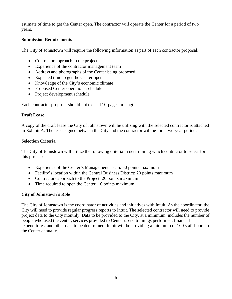estimate of time to get the Center open. The contractor will operate the Center for a period of two years.

#### **Submission Requirements**

The City of Johnstown will require the following information as part of each contractor proposal:

- Contractor approach to the project
- Experience of the contractor management team
- Address and photographs of the Center being proposed
- Expected time to get the Center open
- Knowledge of the City's economic climate
- Proposed Center operations schedule
- Project development schedule

Each contractor proposal should not exceed 10-pages in length.

#### **Draft Lease**

A copy of the draft lease the City of Johnstown will be utilizing with the selected contractor is attached in Exhibit A. The lease signed between the City and the contractor will be for a two-year period.

#### **Selection Criteria**

The City of Johnstown will utilize the following criteria in determining which contractor to select for this project:

- Experience of the Center's Management Team: 50 points maximum
- Facility's location within the Central Business District: 20 points maximum
- Contractors approach to the Project: 20 points maximum
- Time required to open the Center: 10 points maximum

#### **City of Johnstown's Role**

The City of Johnstown is the coordinator of activities and initiatives with Intuit. As the coordinator, the City will need to provide regular progress reports to Intuit. The selected contractor will need to provide project data to the City monthly. Data to be provided to the City, at a minimum, includes the number of people who used the center, services provided to Center users, trainings performed, financial expenditures, and other data to be determined. Intuit will be providing a minimum of 100 staff hours to the Center annually.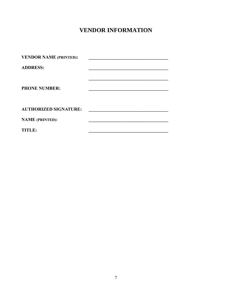## **VENDOR INFORMATION**

| <b>VENDOR NAME (PRINTED):</b> |  |
|-------------------------------|--|
| <b>ADDRESS:</b>               |  |
| <b>PHONE NUMBER:</b>          |  |
| <b>AUTHORIZED SIGNATURE:</b>  |  |
| <b>NAME (PRINTED):</b>        |  |
| <b>TITLE:</b>                 |  |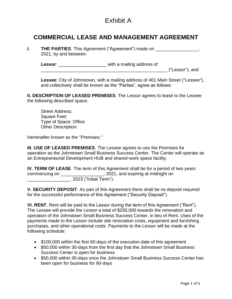### Exhibit A

### **COMMERCIAL LEASE AND MANAGEMENT AGREEMENT**

Lessor: \_\_\_\_\_\_\_\_\_\_\_\_\_\_\_\_\_\_\_\_\_\_ with a mailing address of \_\_\_\_\_\_\_\_\_\_\_\_\_\_\_\_\_\_\_\_\_\_\_\_\_\_\_\_\_\_\_\_\_\_\_\_\_\_\_\_\_\_\_\_\_\_\_\_\_\_ ("Lessor"), and

**Lessee**: City of Johnstown, with a mailing address of 401 Main Street ("Lessee"), and collectively shall be known as the "Parties", agree as follows:

**II. DESCRIPTION OF LEASED PREMISES**. The Lessor agrees to lease to the Lessee the following described space:

Street Address: Square Feet: Type of Space: Office Other Description:

Hereinafter known as the "Premises."

**III. USE OF LEASED PREMISES**. The Lessee agrees to use the Premises for operation as the Johnstown Small Business Success Center. The Center will operate as an Entrepreneurial Development HUB and shared-work space facility.

**IV. TERM OF LEASE**. The term of this Agreement shall be for a period of two years commencing on \_\_\_\_\_\_\_\_\_\_\_\_\_\_\_\_\_\_\_, 2021, and expiring at midnight on \_\_\_\_\_\_\_\_\_\_\_\_\_\_\_\_\_, 2023 ("Initial Term").

**V. SECURITY DEPOSIT**. As part of this Agreement there shall be no deposit required for the successful performance of this Agreement ("Security Deposit").

**VI. RENT**. Rent will be paid to the Lessor during the term of this Agreement ("Rent"). The Lessee will provide the Lessor a total of \$250,000 towards the renovation and operation of the Johnstown Small Business Success Center, in lieu of Rent. Uses of the payments made to the Lessor include site renovation costs, equipment and furnishing purchases, and other operational costs. Payments to the Lessor will be made at the following schedule:

- \$100,000 within the first 60-days of the execution date of this agreement
- \$50,000 within 30-days from the first day that the Johnstown Small Business Success Center is open for business
- \$50,000 within 30-days once the Johnstown Small Business Success Center has been open for business for 90-days

**I. THE PARTIES**. This Agreement ("Agreement") made on \_\_\_\_\_\_\_\_\_\_\_\_\_\_\_\_\_\_\_, 2021, by and between: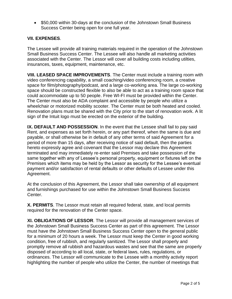• \$50,000 within 30-days at the conclusion of the Johnstown Small Business Success Center being open for one full year.

#### **VII. EXPENSES**.

The Lessee will provide all training materials required in the operation of the Johnstown Small Business Success Center. The Lessee will also handle all marketing activities associated with the Center. The Lessor will cover all building costs including utilties, insurances, taxes, equipment, maintenance, etc.

**VIII. LEASED SPACE IMPROVEMENTS**. The Center must include a training room with video conferencing capability, a small coaching/video conferencing room, a creative space for film/photography/podcast, and a large co-working area. The large co-working space should be constructed flexible to also be able to act as a training room space that could accommodate up to 50 people. Free WI-FI must be provided within the Center. The Center must also be ADA complaint and accessible by people who utilize a wheelchair or motorized mobility scooter. The Center must be both heated and cooled. Renovation plans must be shared with the City prior to the start of renovation work. A lit sign of the Intuit logo must be erected on the exterior of the building.

**IX. DEFAULT AND POSSESSION**. In the event that the Lessee shall fail to pay said Rent, and expenses as set forth herein, or any part thereof, when the same is due and payable, or shall otherwise be in default of any other terms of said Agreement for a period of more than 15 days, after receiving notice of said default, then the parties hereto expressly agree and covenant that the Lessor may declare this Agreement terminated and may immediately re-enter said Premises and take possession of the same together with any of Lessee's personal property, equipment or fixtures left on the Premises which items may be held by the Lessor as security for the Lessee's eventual payment and/or satisfaction of rental defaults or other defaults of Lessee under this Agreement.

At the conclusion of this Agreement, the Lessor shall take ownership of all equipment and furnishings purchased for use within the Johnstown Small Business Success Center.

**X. PERMITS**. The Lessor must retain all required federal, state, and local permits required for the renovation of the Center space.

**XI. OBLIGATIONS OF LESSOR**. The Lessor will provide all management services of the Johnstown Small Business Success Center as part of this agreement. The Lessor must have the Johnstown Small Business Success Center open to the general public for a minimum of 20 hours a week. The Lessor must keep the Center in good working condition, free of rubbish, and regularly sanitized. The Lessor shall properly and promptly remove all rubbish and hazardous wastes and see that the same are properly disposed of according to all local, state, or federal laws, rules, regulations, or ordinances. The Lessor will communicate to the Lessee with a monthly activity report highlighting the number of people who utilize the Center, the number of meetings that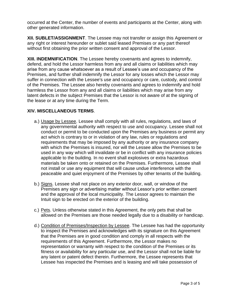occurred at the Center, the number of events and participants at the Center, along with other generated information.

**XII. SUBLET/ASSIGNMENT**. The Lessee may not transfer or assign this Agreement or any right or interest hereunder or sublet said leased Premises or any part thereof without first obtaining the prior written consent and approval of the Lessor.

**XIII. INDEMNIFICATION**. The Lessee hereby covenants and agrees to indemnify, defend, and hold the Lessor harmless from any and all claims or liabilities which may arise from any cause whatsoever as a result of Lessee's use and occupancy of the Premises, and further shall indemnify the Lessor for any losses which the Lessor may suffer in connection with the Lessee's use and occupancy or care, custody, and control of the Premises. The Lessee also hereby covenants and agrees to indemnify and hold harmless the Lessor from any and all claims or liabilities which may arise from any latent defects in the subject Premises that the Lessor is not aware of at the signing of the lease or at any time during the Term.

#### **XIV. MISCELLANEOUS TERMS**.

- a.) Usage by Lessee. Lessee shall comply with all rules, regulations, and laws of any governmental authority with respect to use and occupancy. Lessee shall not conduct or permit to be conducted upon the Premises any business or permit any act which is contrary to or in violation of any law, rules or regulations and requirements that may be imposed by any authority or any insurance company with which the Premises is insured, nor will the Lessee allow the Premises to be used in any way which will invalidate or be in conflict with any insurance policies applicable to the building. In no event shall explosives or extra hazardous materials be taken onto or retained on the Premises. Furthermore, Lessee shall not install or use any equipment that will cause undue interference with the peaceable and quiet enjoyment of the Premises by other tenants of the building.
- b.) Signs. Lessee shall not place on any exterior door, wall, or window of the Premises any sign or advertising matter without Lessor's prior written consent and the approval of the local municipality. The Lessor agrees to maintain the Intuit sign to be erected on the exterior of the building.
- c.) Pets. Unless otherwise stated in this Agreement, the only pets that shall be allowed on the Premises are those needed legally due to a disability or handicap.
- d.) Condition of Premises/Inspection by Lessee. The Lessee has had the opportunity to inspect the Premises and acknowledges with its signature on this Agreement that the Premises are in good condition and comply in all respects with the requirements of this Agreement. Furthermore, the Lessor makes no representation or warranty with respect to the condition of the Premises or its fitness or availability for any particular use, and the Lessor shall not be liable for any latent or patent defect therein. Furthermore, the Lessee represents that Lessee has inspected the Premises and is leasing and will take possession of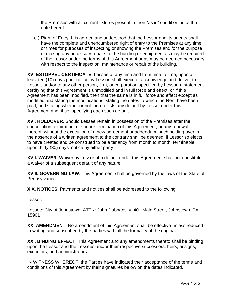the Premises with all current fixtures present in their "as is" condition as of the date hereof.

e.) Right of Entry. It is agreed and understood that the Lessor and its agents shall have the complete and unencumbered right of entry to the Premises at any time or times for purposes of inspecting or showing the Premises and for the purpose of making any necessary repairs to the building or equipment as may be required of the Lessor under the terms of this Agreement or as may be deemed necessary with respect to the inspection, maintenance or repair of the building.

**XV. ESTOPPEL CERTIFICATE**. Lessee at any time and from time to time, upon at least ten (10) days prior notice by Lessor, shall execute, acknowledge and deliver to Lessor, and/or to any other person, firm, or corporation specified by Lessor, a statement certifying that this Agreement is unmodified and in full force and effect, or if this Agreement has been modified, then that the same is in full force and effect except as modified and stating the modifications, stating the dates to which the Rent have been paid, and stating whether or not there exists any default by Lessor under this Agreement and, if so, specifying each such default.

**XVI. HOLDOVER**. Should Lessee remain in possession of the Premises after the cancellation, expiration, or sooner termination of this Agreement, or any renewal thereof, without the execution of a new agreement or addendum, such holding over in the absence of a written agreement to the contrary shall be deemed, if Lessor so elects, to have created and be construed to be a tenancy from month to month, terminable upon thirty (30) days' notice by either party.

**XVII. WAIVER**. Waiver by Lessor of a default under this Agreement shall not constitute a waiver of a subsequent default of any nature.

**XVIII. GOVERNING LAW**. This Agreement shall be governed by the laws of the State of Pennsylvania.

**XIX. NOTICES**. Payments and notices shall be addressed to the following:

Lessor:

Lessee: City of Johnstown, ATTN: John Dubnansky, 401 Main Street, Johnstown, PA 15901

**XX. AMENDMENT**. No amendment of this Agreement shall be effective unless reduced to writing and subscribed by the parties with all the formality of the original.

**XXI. BINDING EFFECT**. This Agreement and any amendments thereto shall be binding upon the Lessor and the Lessees and/or their respective successors, heirs, assigns, executors, and administrators.

IN WITNESS WHEREOF, the Parties have indicated their acceptance of the terms and conditions of this Agreement by their signatures below on the dates indicated.